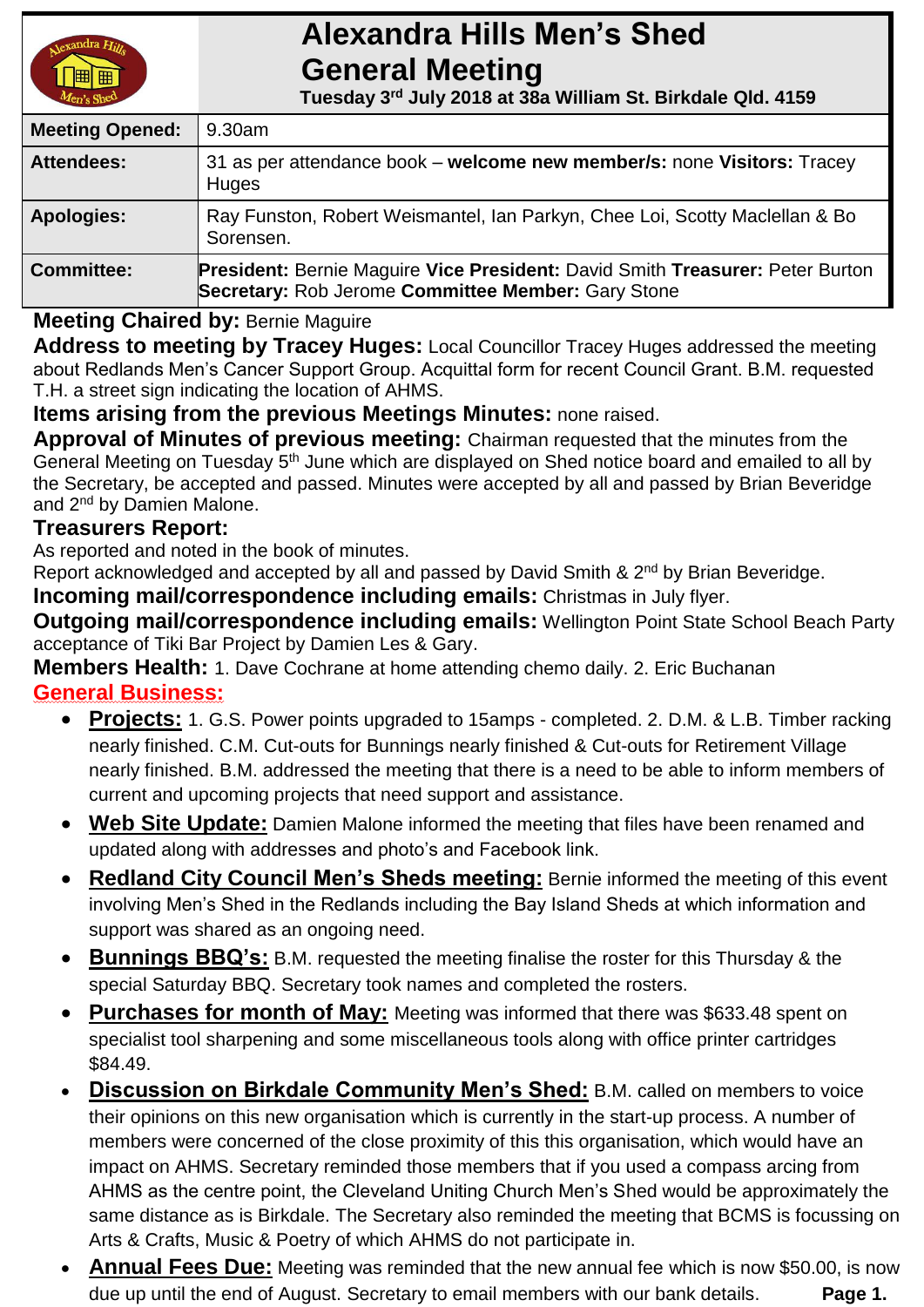# **Alexandra Hills Men's Shed General Meeting**

 **Tuesday 3 rd July 2018 at 38a William St. Birkdale Qld. 4159** 

| <b>Meeting Opened:</b> | 9.30am                                                                                                                              |  |
|------------------------|-------------------------------------------------------------------------------------------------------------------------------------|--|
| <b>Attendees:</b>      | 31 as per attendance book – welcome new member/s: none Visitors: Tracey<br>Huges                                                    |  |
| <b>Apologies:</b>      | Ray Funston, Robert Weismantel, Ian Parkyn, Chee Loi, Scotty Maclellan & Bo<br>Sorensen.                                            |  |
| <b>Committee:</b>      | President: Bernie Maguire Vice President: David Smith Treasurer: Peter Burton<br>Secretary: Rob Jerome Committee Member: Gary Stone |  |

### **Meeting Chaired by:** Bernie Maguire

**Address to meeting by Tracey Huges:** Local Councillor Tracey Huges addressed the meeting about Redlands Men's Cancer Support Group. Acquittal form for recent Council Grant. B.M. requested T.H. a street sign indicating the location of AHMS.

**Items arising from the previous Meetings Minutes:** none raised.

**Approval of Minutes of previous meeting:** Chairman requested that the minutes from the General Meeting on Tuesday 5<sup>th</sup> June which are displayed on Shed notice board and emailed to all by the Secretary, be accepted and passed. Minutes were accepted by all and passed by Brian Beveridge and 2<sup>nd</sup> by Damien Malone.

#### **Treasurers Report:**

As reported and noted in the book of minutes.

Report acknowledged and accepted by all and passed by David Smith & 2<sup>nd</sup> by Brian Beveridge.

**Incoming mail/correspondence including emails:** Christmas in July flyer.

**Outgoing mail/correspondence including emails:** Wellington Point State School Beach Party acceptance of Tiki Bar Project by Damien Les & Gary.

**Members Health:** 1. Dave Cochrane at home attending chemo daily. 2. Eric Buchanan **General Business:**

- **Projects:** 1. G.S. Power points upgraded to 15amps completed. 2. D.M. & L.B. Timber racking nearly finished. C.M. Cut-outs for Bunnings nearly finished & Cut-outs for Retirement Village nearly finished. B.M. addressed the meeting that there is a need to be able to inform members of current and upcoming projects that need support and assistance.
- **Web Site Update:** Damien Malone informed the meeting that files have been renamed and updated along with addresses and photo's and Facebook link.
- **Redland City Council Men's Sheds meeting:** Bernie informed the meeting of this event involving Men's Shed in the Redlands including the Bay Island Sheds at which information and support was shared as an ongoing need.
- **Bunnings BBQ's:** B.M. requested the meeting finalise the roster for this Thursday & the special Saturday BBQ. Secretary took names and completed the rosters.
- **Purchases for month of May:** Meeting was informed that there was \$633.48 spent on specialist tool sharpening and some miscellaneous tools along with office printer cartridges \$84.49.
- **Discussion on Birkdale Community Men's Shed:** B.M. called on members to voice their opinions on this new organisation which is currently in the start-up process. A number of members were concerned of the close proximity of this this organisation, which would have an impact on AHMS. Secretary reminded those members that if you used a compass arcing from AHMS as the centre point, the Cleveland Uniting Church Men's Shed would be approximately the same distance as is Birkdale. The Secretary also reminded the meeting that BCMS is focussing on Arts & Crafts, Music & Poetry of which AHMS do not participate in.
- **Annual Fees Due:** Meeting was reminded that the new annual fee which is now \$50.00, is now due up until the end of August. Secretary to email members with our bank details. **Page 1.**